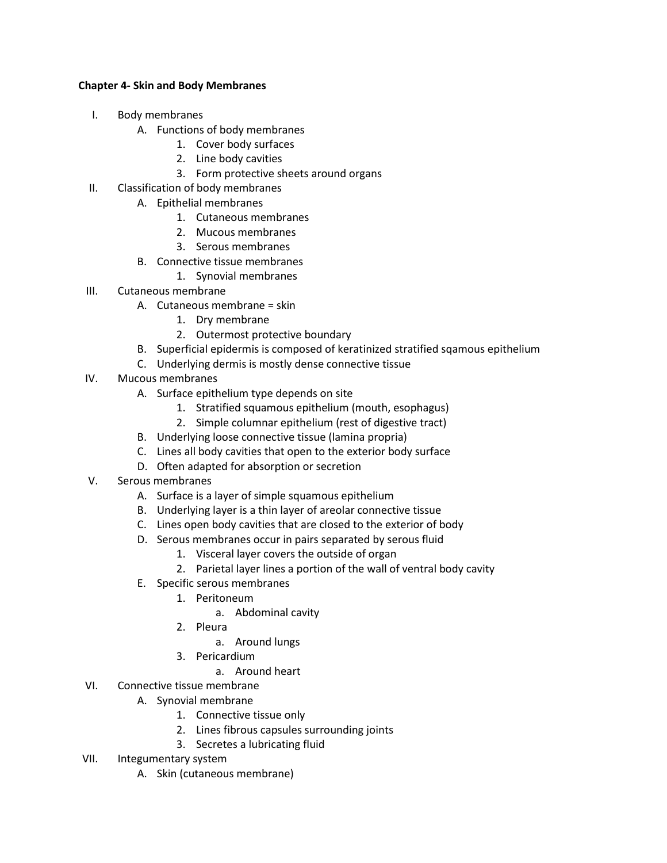## **Chapter 4- Skin and Body Membranes**

- I. Body membranes
	- A. Functions of body membranes
		- 1. Cover body surfaces
		- 2. Line body cavities
		- 3. Form protective sheets around organs
- II. Classification of body membranes
	- A. Epithelial membranes
		- 1. Cutaneous membranes
		- 2. Mucous membranes
		- 3. Serous membranes
	- B. Connective tissue membranes
		- 1. Synovial membranes
- III. Cutaneous membrane
	- A. Cutaneous membrane = skin
		- 1. Dry membrane
		- 2. Outermost protective boundary
	- B. Superficial epidermis is composed of keratinized stratified sqamous epithelium
	- C. Underlying dermis is mostly dense connective tissue
- IV. Mucous membranes
	- A. Surface epithelium type depends on site
		- 1. Stratified squamous epithelium (mouth, esophagus)
		- 2. Simple columnar epithelium (rest of digestive tract)
	- B. Underlying loose connective tissue (lamina propria)
	- C. Lines all body cavities that open to the exterior body surface
	- D. Often adapted for absorption or secretion
- V. Serous membranes
	- A. Surface is a layer of simple squamous epithelium
	- B. Underlying layer is a thin layer of areolar connective tissue
	- C. Lines open body cavities that are closed to the exterior of body
	- D. Serous membranes occur in pairs separated by serous fluid
		- 1. Visceral layer covers the outside of organ
		- 2. Parietal layer lines a portion of the wall of ventral body cavity
	- E. Specific serous membranes
		- 1. Peritoneum
			- a. Abdominal cavity
		- 2. Pleura
			- a. Around lungs
		- 3. Pericardium
			- a. Around heart
- VI. Connective tissue membrane
	- A. Synovial membrane
		- 1. Connective tissue only
		- 2. Lines fibrous capsules surrounding joints
		- 3. Secretes a lubricating fluid
- VII. Integumentary system
	- A. Skin (cutaneous membrane)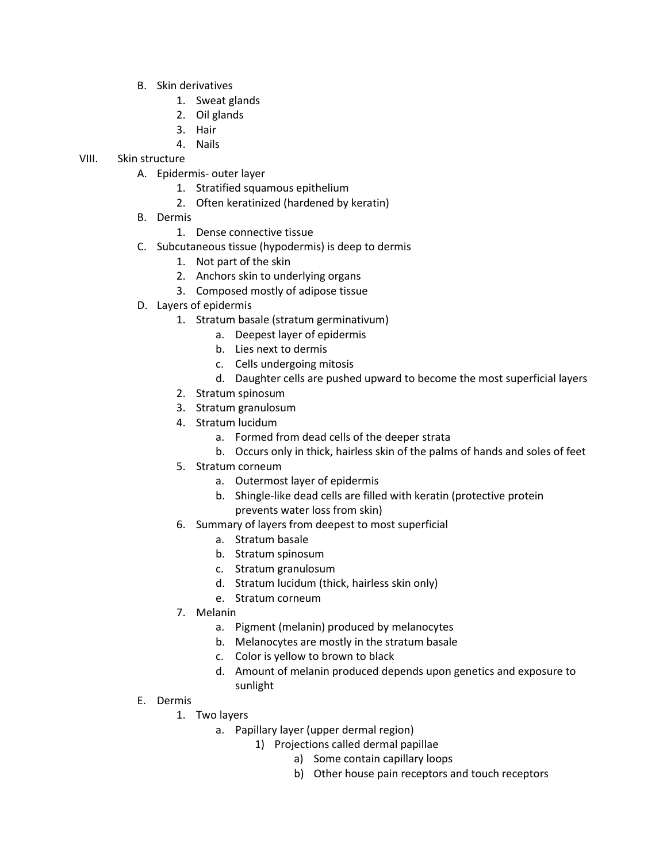- B. Skin derivatives
	- 1. Sweat glands
	- 2. Oil glands
	- 3. Hair
	- 4. Nails

## VIII. Skin structure

- A. Epidermis- outer layer
	- 1. Stratified squamous epithelium
	- 2. Often keratinized (hardened by keratin)
	- B. Dermis
		- 1. Dense connective tissue
	- C. Subcutaneous tissue (hypodermis) is deep to dermis
		- 1. Not part of the skin
		- 2. Anchors skin to underlying organs
		- 3. Composed mostly of adipose tissue
	- D. Layers of epidermis
		- 1. Stratum basale (stratum germinativum)
			- a. Deepest layer of epidermis
			- b. Lies next to dermis
			- c. Cells undergoing mitosis
			- d. Daughter cells are pushed upward to become the most superficial layers
		- 2. Stratum spinosum
		- 3. Stratum granulosum
		- 4. Stratum lucidum
			- a. Formed from dead cells of the deeper strata
			- b. Occurs only in thick, hairless skin of the palms of hands and soles of feet
		- 5. Stratum corneum
			- a. Outermost layer of epidermis
			- b. Shingle-like dead cells are filled with keratin (protective protein prevents water loss from skin)
		- 6. Summary of layers from deepest to most superficial
			- a. Stratum basale
			- b. Stratum spinosum
			- c. Stratum granulosum
			- d. Stratum lucidum (thick, hairless skin only)
			- e. Stratum corneum
		- 7. Melanin
			- a. Pigment (melanin) produced by melanocytes
			- b. Melanocytes are mostly in the stratum basale
			- c. Color is yellow to brown to black
			- d. Amount of melanin produced depends upon genetics and exposure to sunlight
	- E. Dermis
		- 1. Two layers
			- a. Papillary layer (upper dermal region)
				- 1) Projections called dermal papillae
					- a) Some contain capillary loops
					- b) Other house pain receptors and touch receptors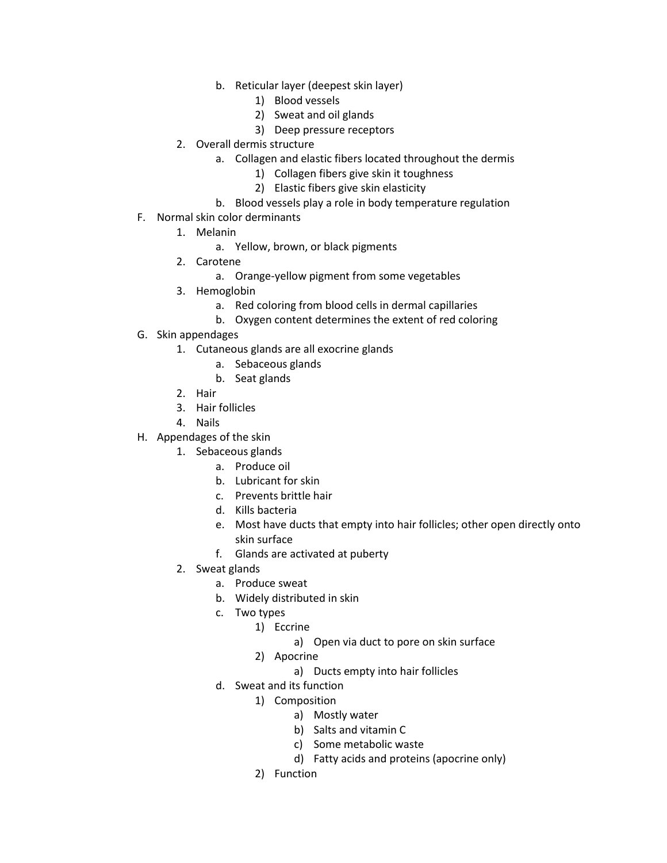- b. Reticular layer (deepest skin layer)
	- 1) Blood vessels
	- 2) Sweat and oil glands
	- 3) Deep pressure receptors
- 2. Overall dermis structure
	- a. Collagen and elastic fibers located throughout the dermis
		- 1) Collagen fibers give skin it toughness
		- 2) Elastic fibers give skin elasticity
	- b. Blood vessels play a role in body temperature regulation
- F. Normal skin color derminants
	- 1. Melanin
		- a. Yellow, brown, or black pigments
	- 2. Carotene
		- a. Orange-yellow pigment from some vegetables
	- 3. Hemoglobin
		- a. Red coloring from blood cells in dermal capillaries
		- b. Oxygen content determines the extent of red coloring
- G. Skin appendages
	- 1. Cutaneous glands are all exocrine glands
		- a. Sebaceous glands
		- b. Seat glands
	- 2. Hair
	- 3. Hair follicles
	- 4. Nails
- H. Appendages of the skin
	- 1. Sebaceous glands
		- a. Produce oil
		- b. Lubricant for skin
		- c. Prevents brittle hair
		- d. Kills bacteria
		- e. Most have ducts that empty into hair follicles; other open directly onto skin surface
		- f. Glands are activated at puberty
	- 2. Sweat glands
		- a. Produce sweat
		- b. Widely distributed in skin
		- c. Two types
			- 1) Eccrine
				- a) Open via duct to pore on skin surface
			- 2) Apocrine
				- a) Ducts empty into hair follicles
		- d. Sweat and its function
			- 1) Composition
				- a) Mostly water
				- b) Salts and vitamin C
				- c) Some metabolic waste
				- d) Fatty acids and proteins (apocrine only)
			- 2) Function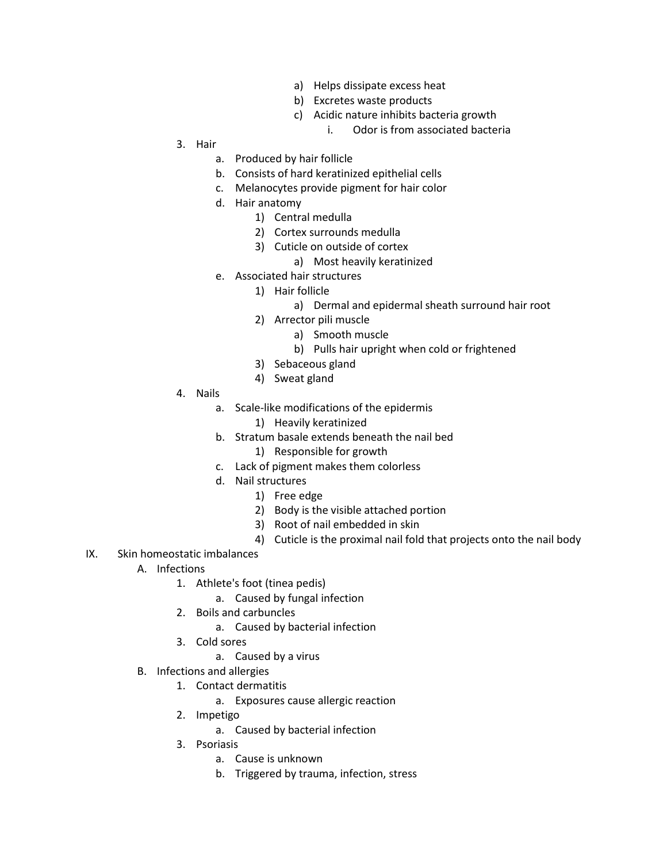- a) Helps dissipate excess heat
- b) Excretes waste products
- c) Acidic nature inhibits bacteria growth
	- i. Odor is from associated bacteria

- 3. Hair
	- a. Produced by hair follicle
	- b. Consists of hard keratinized epithelial cells
	- c. Melanocytes provide pigment for hair color
	- d. Hair anatomy
		- 1) Central medulla
		- 2) Cortex surrounds medulla
		- 3) Cuticle on outside of cortex
			- a) Most heavily keratinized
	- e. Associated hair structures
		- 1) Hair follicle
			- a) Dermal and epidermal sheath surround hair root
		- 2) Arrector pili muscle
			- a) Smooth muscle
			- b) Pulls hair upright when cold or frightened
		- 3) Sebaceous gland
		- 4) Sweat gland
- 4. Nails
	- a. Scale-like modifications of the epidermis
		- 1) Heavily keratinized
	- b. Stratum basale extends beneath the nail bed
		- 1) Responsible for growth
	- c. Lack of pigment makes them colorless
	- d. Nail structures
		- 1) Free edge
		- 2) Body is the visible attached portion
		- 3) Root of nail embedded in skin
		- 4) Cuticle is the proximal nail fold that projects onto the nail body
- IX. Skin homeostatic imbalances
	- A. Infections
		- 1. Athlete's foot (tinea pedis)
			- a. Caused by fungal infection
		- 2. Boils and carbuncles
			- a. Caused by bacterial infection
		- 3. Cold sores
			- a. Caused by a virus
	- B. Infections and allergies
		- 1. Contact dermatitis
			- a. Exposures cause allergic reaction
		- 2. Impetigo
			- a. Caused by bacterial infection
		- 3. Psoriasis
			- a. Cause is unknown
			- b. Triggered by trauma, infection, stress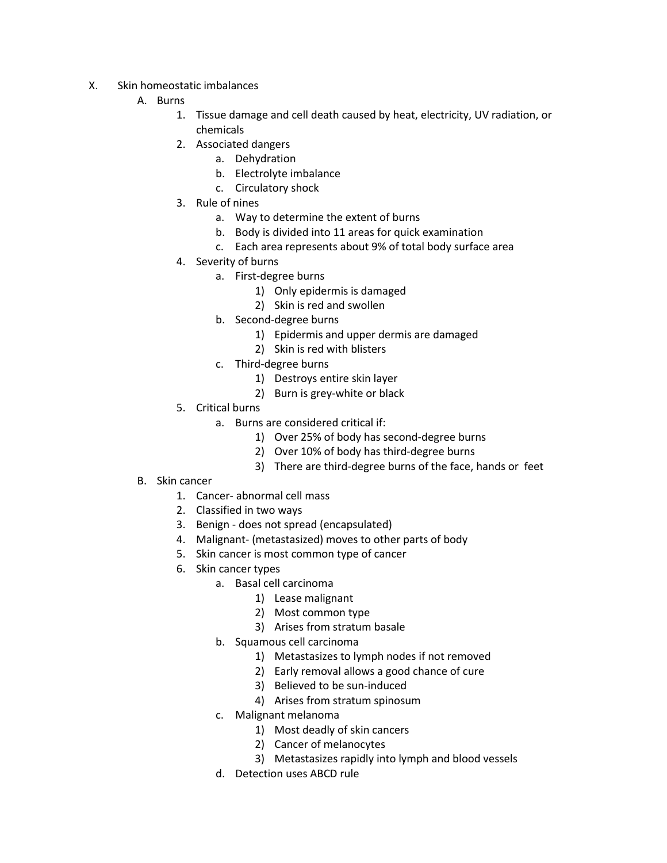- X. Skin homeostatic imbalances
	- A. Burns
		- 1. Tissue damage and cell death caused by heat, electricity, UV radiation, or chemicals
		- 2. Associated dangers
			- a. Dehydration
			- b. Electrolyte imbalance
			- c. Circulatory shock
		- 3. Rule of nines
			- a. Way to determine the extent of burns
			- b. Body is divided into 11 areas for quick examination
			- c. Each area represents about 9% of total body surface area
		- 4. Severity of burns
			- a. First-degree burns
				- 1) Only epidermis is damaged
				- 2) Skin is red and swollen
			- b. Second-degree burns
				- 1) Epidermis and upper dermis are damaged
				- 2) Skin is red with blisters
			- c. Third-degree burns
				- 1) Destroys entire skin layer
				- 2) Burn is grey-white or black
		- 5. Critical burns
			- a. Burns are considered critical if:
				- 1) Over 25% of body has second-degree burns
				- 2) Over 10% of body has third-degree burns
				- 3) There are third-degree burns of the face, hands or feet
	- B. Skin cancer
		- 1. Cancer- abnormal cell mass
		- 2. Classified in two ways
		- 3. Benign does not spread (encapsulated)
		- 4. Malignant- (metastasized) moves to other parts of body
		- 5. Skin cancer is most common type of cancer
		- 6. Skin cancer types
			- a. Basal cell carcinoma
				- 1) Lease malignant
				- 2) Most common type
				- 3) Arises from stratum basale
			- b. Squamous cell carcinoma
				- 1) Metastasizes to lymph nodes if not removed
				- 2) Early removal allows a good chance of cure
				- 3) Believed to be sun-induced
				- 4) Arises from stratum spinosum
			- c. Malignant melanoma
				- 1) Most deadly of skin cancers
				- 2) Cancer of melanocytes
				- 3) Metastasizes rapidly into lymph and blood vessels
			- d. Detection uses ABCD rule